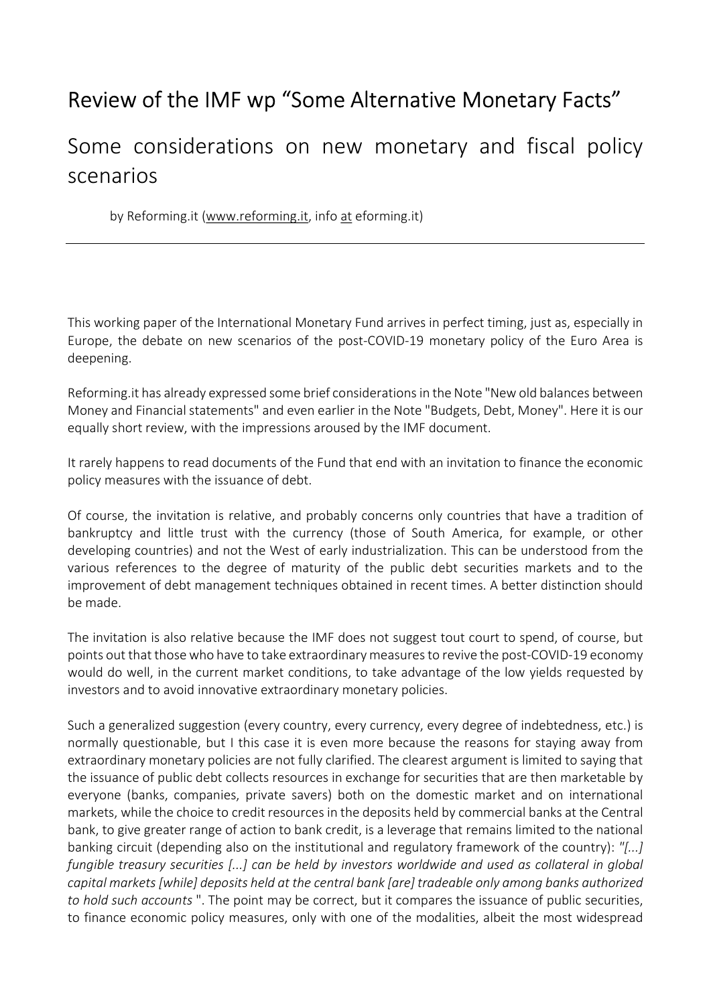## Review of the IMF wp "Some Alternative Monetary Facts"

## Some considerations on new monetary and fiscal policy scenarios

by Reforming.it (www.reforming.it, info at eforming.it)

This working paper of the International Monetary Fund arrives in perfect timing, just as, especially in Europe, the debate on new scenarios of the post-COVID-19 monetary policy of the Euro Area is deepening.

Reforming.it has already expressed some brief considerations in the Note "New old balances between Money and Financial statements" and even earlier in the Note "Budgets, Debt, Money". Here it is our equally short review, with the impressions aroused by the IMF document.

It rarely happens to read documents of the Fund that end with an invitation to finance the economic policy measures with the issuance of debt.

Of course, the invitation is relative, and probably concerns only countries that have a tradition of bankruptcy and little trust with the currency (those of South America, for example, or other developing countries) and not the West of early industrialization. This can be understood from the various references to the degree of maturity of the public debt securities markets and to the improvement of debt management techniques obtained in recent times. A better distinction should be made.

The invitation is also relative because the IMF does not suggest tout court to spend, of course, but points out that those who have to take extraordinary measures to revive the post-COVID-19 economy would do well, in the current market conditions, to take advantage of the low yields requested by investors and to avoid innovative extraordinary monetary policies.

Such a generalized suggestion (every country, every currency, every degree of indebtedness, etc.) is normally questionable, but I this case it is even more because the reasons for staying away from extraordinary monetary policies are not fully clarified. The clearest argument is limited to saying that the issuance of public debt collects resources in exchange for securities that are then marketable by everyone (banks, companies, private savers) both on the domestic market and on international markets, while the choice to credit resources in the deposits held by commercial banks at the Central bank, to give greater range of action to bank credit, is a leverage that remains limited to the national banking circuit (depending also on the institutional and regulatory framework of the country): "[...] fungible treasury securities [...] can be held by investors worldwide and used as collateral in global capital markets [while] deposits held at the central bank [are] tradeable only among banks authorized to hold such accounts ". The point may be correct, but it compares the issuance of public securities, to finance economic policy measures, only with one of the modalities, albeit the most widespread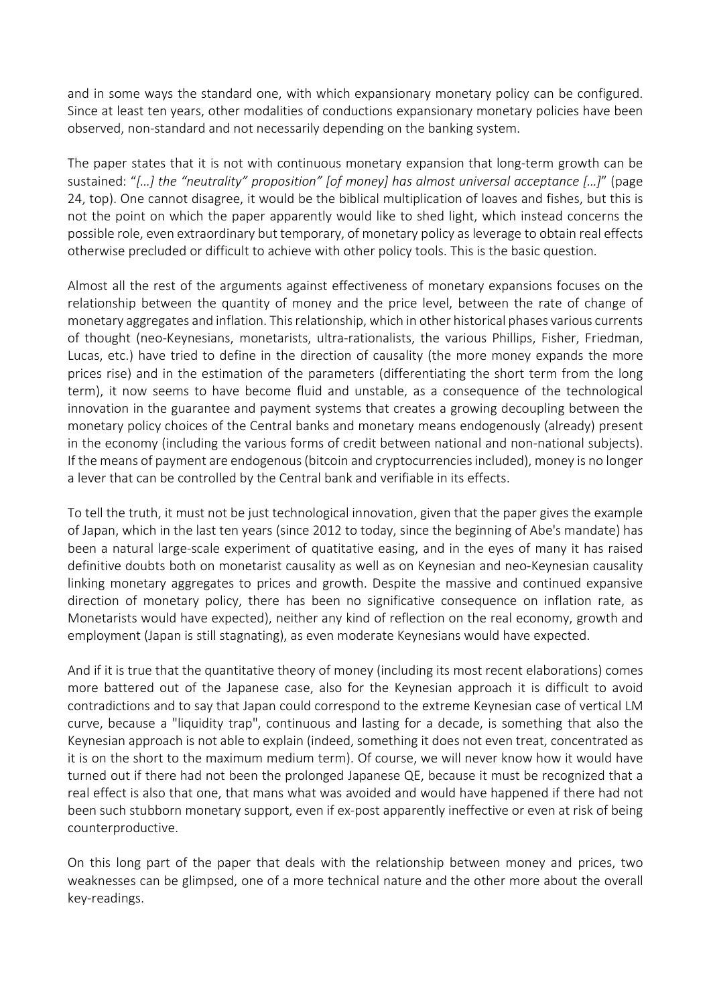and in some ways the standard one, with which expansionary monetary policy can be configured. Since at least ten years, other modalities of conductions expansionary monetary policies have been observed, non-standard and not necessarily depending on the banking system.

The paper states that it is not with continuous monetary expansion that long-term growth can be sustained: "[…] the "neutrality" proposition" [of money] has almost universal acceptance […]" (page 24, top). One cannot disagree, it would be the biblical multiplication of loaves and fishes, but this is not the point on which the paper apparently would like to shed light, which instead concerns the possible role, even extraordinary but temporary, of monetary policy as leverage to obtain real effects otherwise precluded or difficult to achieve with other policy tools. This is the basic question.

Almost all the rest of the arguments against effectiveness of monetary expansions focuses on the relationship between the quantity of money and the price level, between the rate of change of monetary aggregates and inflation. This relationship, which in other historical phases various currents of thought (neo-Keynesians, monetarists, ultra-rationalists, the various Phillips, Fisher, Friedman, Lucas, etc.) have tried to define in the direction of causality (the more money expands the more prices rise) and in the estimation of the parameters (differentiating the short term from the long term), it now seems to have become fluid and unstable, as a consequence of the technological innovation in the guarantee and payment systems that creates a growing decoupling between the monetary policy choices of the Central banks and monetary means endogenously (already) present in the economy (including the various forms of credit between national and non-national subjects). If the means of payment are endogenous (bitcoin and cryptocurrencies included), money is no longer a lever that can be controlled by the Central bank and verifiable in its effects.

To tell the truth, it must not be just technological innovation, given that the paper gives the example of Japan, which in the last ten years (since 2012 to today, since the beginning of Abe's mandate) has been a natural large-scale experiment of quatitative easing, and in the eyes of many it has raised definitive doubts both on monetarist causality as well as on Keynesian and neo-Keynesian causality linking monetary aggregates to prices and growth. Despite the massive and continued expansive direction of monetary policy, there has been no significative consequence on inflation rate, as Monetarists would have expected), neither any kind of reflection on the real economy, growth and employment (Japan is still stagnating), as even moderate Keynesians would have expected.

And if it is true that the quantitative theory of money (including its most recent elaborations) comes more battered out of the Japanese case, also for the Keynesian approach it is difficult to avoid contradictions and to say that Japan could correspond to the extreme Keynesian case of vertical LM curve, because a "liquidity trap", continuous and lasting for a decade, is something that also the Keynesian approach is not able to explain (indeed, something it does not even treat, concentrated as it is on the short to the maximum medium term). Of course, we will never know how it would have turned out if there had not been the prolonged Japanese QE, because it must be recognized that a real effect is also that one, that mans what was avoided and would have happened if there had not been such stubborn monetary support, even if ex-post apparently ineffective or even at risk of being counterproductive.

On this long part of the paper that deals with the relationship between money and prices, two weaknesses can be glimpsed, one of a more technical nature and the other more about the overall key-readings.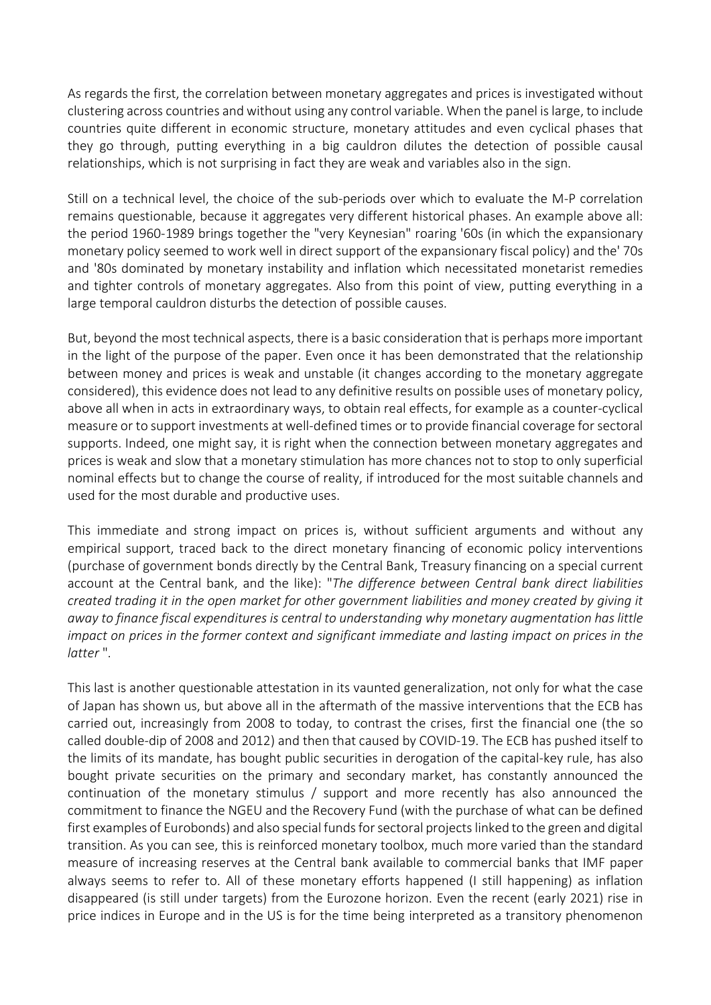As regards the first, the correlation between monetary aggregates and prices is investigated without clustering across countries and without using any control variable. When the panel is large, to include countries quite different in economic structure, monetary attitudes and even cyclical phases that they go through, putting everything in a big cauldron dilutes the detection of possible causal relationships, which is not surprising in fact they are weak and variables also in the sign.

Still on a technical level, the choice of the sub-periods over which to evaluate the M-P correlation remains questionable, because it aggregates very different historical phases. An example above all: the period 1960-1989 brings together the "very Keynesian" roaring '60s (in which the expansionary monetary policy seemed to work well in direct support of the expansionary fiscal policy) and the' 70s and '80s dominated by monetary instability and inflation which necessitated monetarist remedies and tighter controls of monetary aggregates. Also from this point of view, putting everything in a large temporal cauldron disturbs the detection of possible causes.

But, beyond the most technical aspects, there is a basic consideration that is perhaps more important in the light of the purpose of the paper. Even once it has been demonstrated that the relationship between money and prices is weak and unstable (it changes according to the monetary aggregate considered), this evidence does not lead to any definitive results on possible uses of monetary policy, above all when in acts in extraordinary ways, to obtain real effects, for example as a counter-cyclical measure or to support investments at well-defined times or to provide financial coverage for sectoral supports. Indeed, one might say, it is right when the connection between monetary aggregates and prices is weak and slow that a monetary stimulation has more chances not to stop to only superficial nominal effects but to change the course of reality, if introduced for the most suitable channels and used for the most durable and productive uses.

This immediate and strong impact on prices is, without sufficient arguments and without any empirical support, traced back to the direct monetary financing of economic policy interventions (purchase of government bonds directly by the Central Bank, Treasury financing on a special current account at the Central bank, and the like): "The difference between Central bank direct liabilities created trading it in the open market for other government liabilities and money created by giving it away to finance fiscal expenditures is central to understanding why monetary augmentation has little impact on prices in the former context and significant immediate and lasting impact on prices in the latter ".

This last is another questionable attestation in its vaunted generalization, not only for what the case of Japan has shown us, but above all in the aftermath of the massive interventions that the ECB has carried out, increasingly from 2008 to today, to contrast the crises, first the financial one (the so called double-dip of 2008 and 2012) and then that caused by COVID-19. The ECB has pushed itself to the limits of its mandate, has bought public securities in derogation of the capital-key rule, has also bought private securities on the primary and secondary market, has constantly announced the continuation of the monetary stimulus / support and more recently has also announced the commitment to finance the NGEU and the Recovery Fund (with the purchase of what can be defined first examples of Eurobonds) and also special funds for sectoral projects linked to the green and digital transition. As you can see, this is reinforced monetary toolbox, much more varied than the standard measure of increasing reserves at the Central bank available to commercial banks that IMF paper always seems to refer to. All of these monetary efforts happened (I still happening) as inflation disappeared (is still under targets) from the Eurozone horizon. Even the recent (early 2021) rise in price indices in Europe and in the US is for the time being interpreted as a transitory phenomenon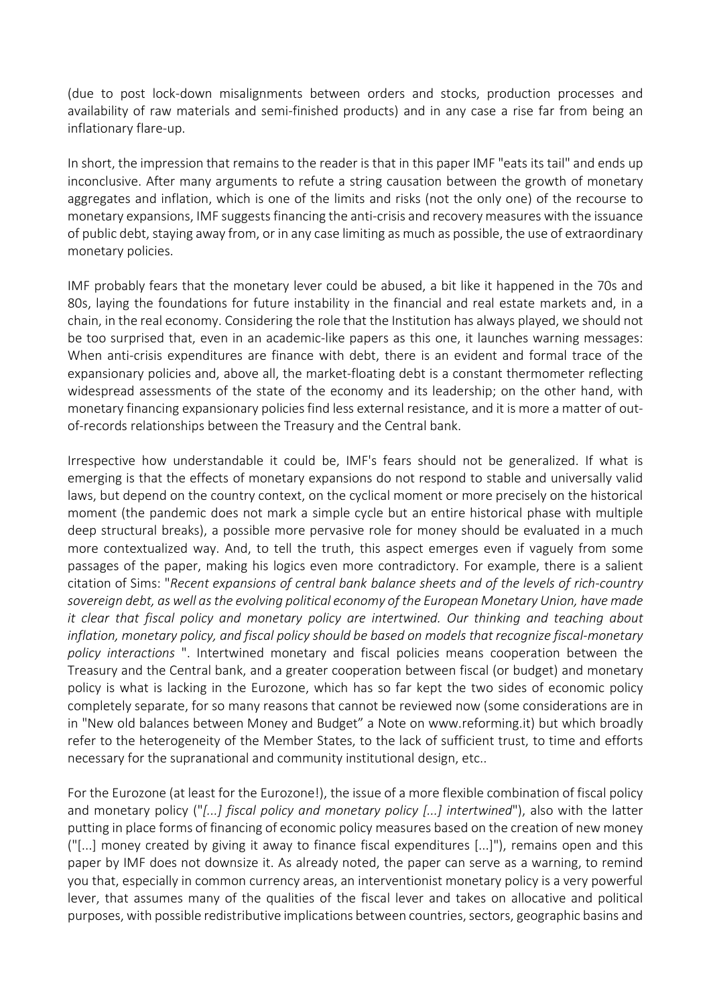(due to post lock-down misalignments between orders and stocks, production processes and availability of raw materials and semi-finished products) and in any case a rise far from being an inflationary flare-up.

In short, the impression that remains to the reader is that in this paper IMF "eats its tail" and ends up inconclusive. After many arguments to refute a string causation between the growth of monetary aggregates and inflation, which is one of the limits and risks (not the only one) of the recourse to monetary expansions, IMF suggests financing the anti-crisis and recovery measures with the issuance of public debt, staying away from, or in any case limiting as much as possible, the use of extraordinary monetary policies.

IMF probably fears that the monetary lever could be abused, a bit like it happened in the 70s and 80s, laying the foundations for future instability in the financial and real estate markets and, in a chain, in the real economy. Considering the role that the Institution has always played, we should not be too surprised that, even in an academic-like papers as this one, it launches warning messages: When anti-crisis expenditures are finance with debt, there is an evident and formal trace of the expansionary policies and, above all, the market-floating debt is a constant thermometer reflecting widespread assessments of the state of the economy and its leadership; on the other hand, with monetary financing expansionary policies find less external resistance, and it is more a matter of outof-records relationships between the Treasury and the Central bank.

Irrespective how understandable it could be, IMF's fears should not be generalized. If what is emerging is that the effects of monetary expansions do not respond to stable and universally valid laws, but depend on the country context, on the cyclical moment or more precisely on the historical moment (the pandemic does not mark a simple cycle but an entire historical phase with multiple deep structural breaks), a possible more pervasive role for money should be evaluated in a much more contextualized way. And, to tell the truth, this aspect emerges even if vaguely from some passages of the paper, making his logics even more contradictory. For example, there is a salient citation of Sims: "Recent expansions of central bank balance sheets and of the levels of rich-country sovereign debt, as well as the evolving political economy of the European Monetary Union, have made it clear that fiscal policy and monetary policy are intertwined. Our thinking and teaching about inflation, monetary policy, and fiscal policy should be based on models that recognize fiscal-monetary policy interactions ". Intertwined monetary and fiscal policies means cooperation between the Treasury and the Central bank, and a greater cooperation between fiscal (or budget) and monetary policy is what is lacking in the Eurozone, which has so far kept the two sides of economic policy completely separate, for so many reasons that cannot be reviewed now (some considerations are in in "New old balances between Money and Budget" a Note on www.reforming.it) but which broadly refer to the heterogeneity of the Member States, to the lack of sufficient trust, to time and efforts necessary for the supranational and community institutional design, etc..

For the Eurozone (at least for the Eurozone!), the issue of a more flexible combination of fiscal policy and monetary policy ("[...] fiscal policy and monetary policy [...] intertwined"), also with the latter putting in place forms of financing of economic policy measures based on the creation of new money ("[...] money created by giving it away to finance fiscal expenditures [...]"), remains open and this paper by IMF does not downsize it. As already noted, the paper can serve as a warning, to remind you that, especially in common currency areas, an interventionist monetary policy is a very powerful lever, that assumes many of the qualities of the fiscal lever and takes on allocative and political purposes, with possible redistributive implications between countries, sectors, geographic basins and